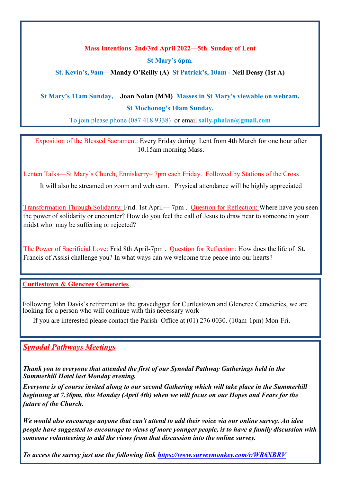## **Mass Intentions 2nd/3rd April 2022—5th Sunday of Lent**

**St Mary's 6pm.**

**St. Kevin's, 9am—Mandy O'Reilly (A) St Patrick's, 10am - Neil Deasy (1st A)**

## **St Mary's 11am Sunday, Joan Nolan (MM) Masses in St Mary's viewable on webcam, St Mochonog's 10am Sunday.**

To join please phone (087 418 9338) or email **sally.phalan@gmail.com** 

Exposition of the Blessed Sacrament: Every Friday during Lent from 4th March for one hour after 10.15am morning Mass.

Lenten Talks—St Mary's Church, Enniskerry– 7pm each Friday. Followed by Stations of the Cross

It will also be streamed on zoom and web cam.. Physical attendance will be highly appreciated

Transformation Through Solidarity: Frid. 1st April— 7pm . Question for Reflection: Where have you seen the power of solidarity or encounter? How do you feel the call of Jesus to draw near to someone in your midst who may be suffering or rejected?

The Power of Sacrificial Love: Frid 8th April-7pm . Question for Reflection: How does the life of St. Francis of Assisi challenge you? In what ways can we welcome true peace into our hearts?

**Curtlestown & Glencree Cemeteries** 

Following John Davis's retirement as the gravedigger for Curtlestown and Glencree Cemeteries, we are looking for a person who will continue with this necessary work

If you are interested please contact the Parish Office at (01) 276 0030. (10am-1pm) Mon-Fri.

#### *Synodal Pathways Meetings*

*Thank you to everyone that attended the first of our Synodal Pathway Gatherings held in the Summerhill Hotel last Monday evening.*

*Everyone is of course invited along to our second Gathering which will take place in the Summerhill beginning at 7.30pm, this Monday (April 4th) when we will focus on our Hopes and Fears for the future of the Church.*

*We would also encourage anyone that can't attend to add their voice via our online survey. An idea people have suggested to encourage to views of more younger people, is to have a family discussion with someone volunteering to add the views from that discussion into the online survey.*

*To access the survey just use the following link <https://www.surveymonkey.com/r/WR6XBRV>*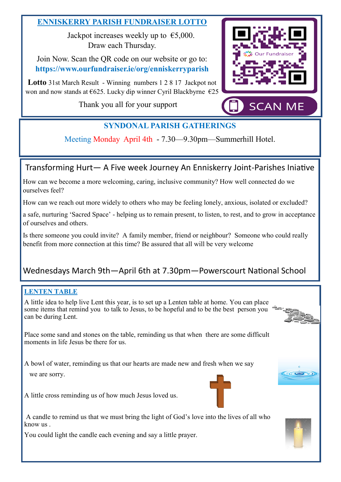## **ENNISKERRY PARISH FUNDRAISER LOTTO**

Jackpot increases weekly up to  $\epsilon$ 5,000. Draw each Thursday.

Join Now. Scan the QR code on our website or go to: **https://www.ourfundraiser.ie/org/enniskerryparish**

**Lotto** 31st March Result - Winning numbers 1 2 8 17 Jackpot not won and now stands at €625. Lucky dip winner Cyril Blackbyrne €25

Thank you all for your support



# **SYNDONAL PARISH GATHERINGS**

Meeting Monday April 4th - 7.30—9.30pm—Summerhill Hotel.

## Transforming Hurt— A Five week Journey An Enniskerry Joint-Parishes Iniative

How can we become a more welcoming, caring, inclusive community? How well connected do we ourselves feel?

How can we reach out more widely to others who may be feeling lonely, anxious, isolated or excluded?

a safe, nurturing 'Sacred Space' - helping us to remain present, to listen, to rest, and to grow in acceptance of ourselves and others.

Is there someone you could invite? A family member, friend or neighbour? Someone who could really benefit from more connection at this time? Be assured that all will be very welcome

# Wednesdays March 9th—April 6th at 7.30pm—Powerscourt National School

### **LENTEN TABLE**

A little idea to help live Lent this year, is to set up a Lenten table at home. You can place some items that remind you to talk to Jesus, to be hopeful and to be the best person you can be during Lent.



 $(\sqrt{2})$ 

Place some sand and stones on the table, reminding us that when there are some difficult moments in life Jesus be there for us.

A bowl of water, reminding us that our hearts are made new and fresh when we say we are sorry.





A candle to remind us that we must bring the light of God's love into the lives of all who know us .

You could light the candle each evening and say a little prayer.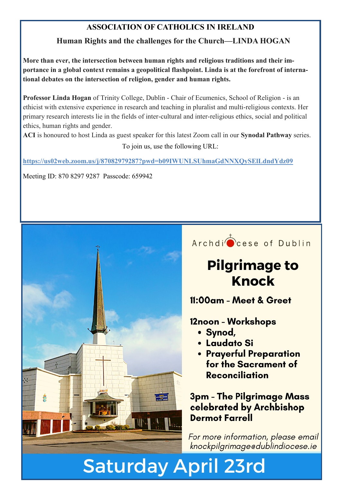# **ASSOCIATION OF CATHOLICS IN IRELAND**

# **Human Rights and the challenges for the Church—LINDA HOGAN**

**More than ever, the intersection between human rights and religious traditions and their importance in a global context remains a geopolitical flashpoint. Linda is at the forefront of international debates on the intersection of religion, gender and human rights.**

**Professor Linda Hogan** of Trinity College, Dublin - Chair of Ecumenics, School of Religion - is an ethicist with extensive experience in research and teaching in pluralist and multi-religious contexts. Her primary research interests lie in the fields of inter-cultural and inter-religious ethics, social and political ethics, human rights and gender.

**ACI** is honoured to host Linda as guest speaker for this latest Zoom call in our **Synodal Pathway** series. To join us, use the following URL:

**<https://us02web.zoom.us/j/87082979287?pwd=b09IWUNLSUhmaGdNNXQySElLdndYdz09>**

Meeting ID: 870 8297 9287 Passcode: 659942



# **Saturday April 23rd**